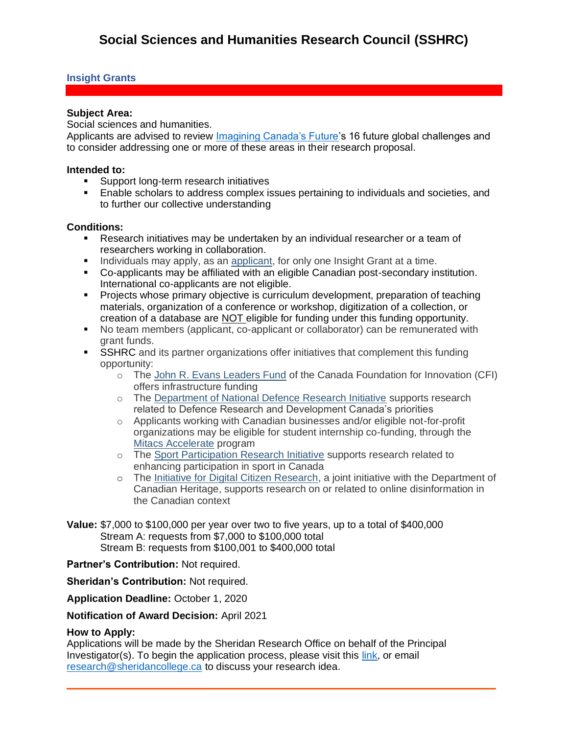# **Insight Grants**

## **Subject Area:**

Social sciences and humanities.

Applicants are advised to review [Imagining Canada's Future'](https://www.sshrc-crsh.gc.ca/society-societe/community-communite/Imagining_Canadas_Future-Imaginer_l_avenir_du_Canada-eng.aspx)s 16 future global challenges and to consider addressing one or more of these areas in their research proposal.

### **Intended to:**

- Support long-term research initiatives
- Enable scholars to address complex issues pertaining to individuals and societies, and to further our collective understanding

## **Conditions:**

- Research initiatives may be undertaken by an individual researcher or a team of researchers working in collaboration.
- Individuals may apply, as an [applicant,](https://www.sshrc-crsh.gc.ca/funding-financement/programs-programmes/definitions-eng.aspx#a1) for only one Insight Grant at a time.
- Co-applicants may be affiliated with an eligible Canadian post-secondary institution. International co-applicants are not eligible.
- **Projects whose primary objective is curriculum development, preparation of teaching** materials, organization of a conference or workshop, digitization of a collection, or creation of a database are NOT eligible for funding under this funding opportunity.
- No team members (applicant, co-applicant or collaborator) can be remunerated with grant funds.
- **SSHRC** and its partner organizations offer initiatives that complement this funding opportunity:
	- o The [John R. Evans Leaders Fund](https://www.innovation.ca/en/OurFunds/CFIFunds/john-r-evans-leaders-fund) of the Canada Foundation for Innovation (CFI) offers infrastructure funding
	- o The [Department of National Defence Research Initiative](https://www.sshrc-crsh.gc.ca/funding-financement/programs-programmes/dnd-eng.aspx) supports research related to Defence Research and Development Canada's priorities
	- o Applicants working with Canadian businesses and/or eligible not-for-profit organizations may be eligible for student internship co-funding, through the [Mitacs Accelerate](https://www.mitacs.ca/en/programs/accelerate) program
	- o The [Sport Participation Research Initiative](https://www.sshrc-crsh.gc.ca/funding-financement/programs-programmes/sport_can-eng.aspx) supports research related to enhancing participation in sport in Canada
	- o The [Initiative for Digital Citizen Research,](https://www.canada.ca/en/canadian-heritage/services/online-disinformation/joint-initiative-digital-citizen-research.html) a joint initiative with the Department of Canadian Heritage, supports research on or related to online disinformation in the Canadian context
- **Value:** \$7,000 to \$100,000 per year over two to five years, up to a total of \$400,000 Stream A: requests from \$7,000 to \$100,000 total Stream B: requests from \$100,001 to \$400,000 total

**Partner's Contribution:** Not required.

**Sheridan's Contribution:** Not required.

**Application Deadline:** October 1, 2020

**Notification of Award Decision:** April 2021

### **How to Apply:**

Applications will be made by the Sheridan Research Office on behalf of the Principal Investigator(s). To begin the application process, please visit this [link,](https://www.sheridancollege.ca/research/get-started/faculty-and-staff) or email [research@sheridancollege.ca](mailto:research@sheridancollege.ca) to discuss your research idea.